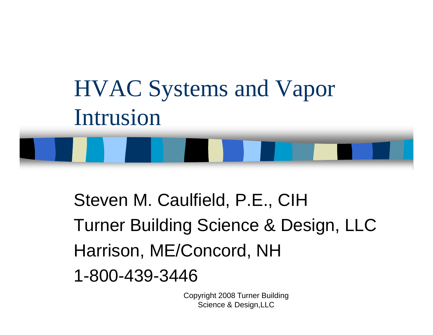

Steven M. Caulfield, P.E., CIH Turner Building Science & Design, LLC & Harrison, ME/Concord, NH 1 800 439 3446 -800 -439 -3446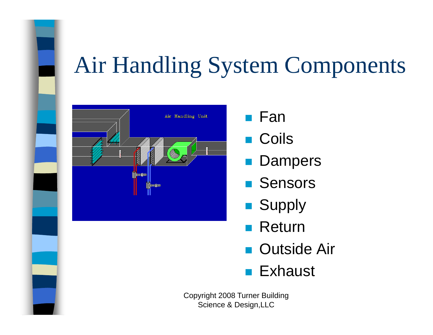

- $\blacksquare$  Fan
- Coils  $\mathcal{L}^{\text{max}}$
- **Dampers**
- **Sensors**
- **Supply**
- Return
- **Outside Air**
- Exhaust  $\mathcal{L}_{\mathcal{A}}$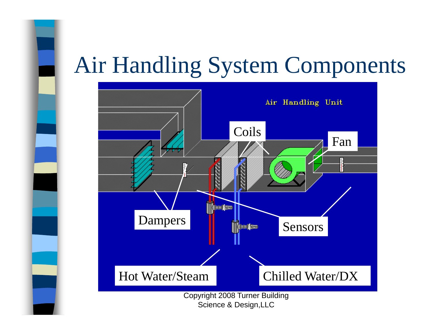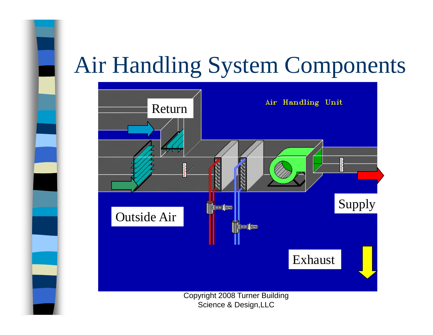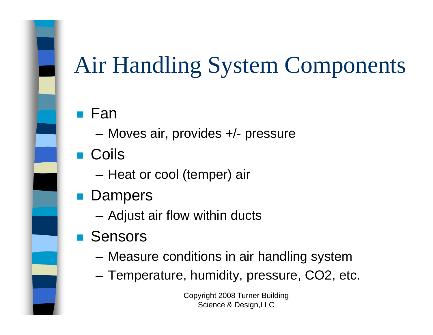#### Fan

- Moves air, provides +/- pressure
- Coils
	- Heat or cool (temper) air
- **Dampers** 
	- Adjust air flow within ducts
- Sensors
	- Measure conditions in air handling system
	- Temperature, humidity, pressure, CO2, etc.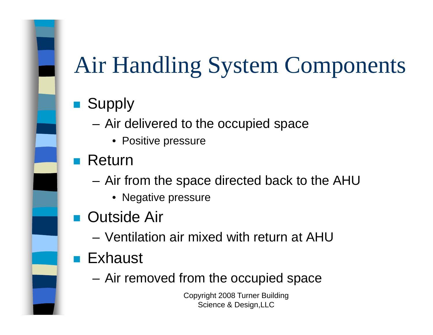#### $\mathcal{L}^{\mathcal{A}}$ **Supply**

- – Air delivered to the occupied space
	- Positive pressure

#### Return

- Air from the space directed back to the AHU
	- Negative pressure
- Outside Air
	- Ventilation air mixed with return at AHU
- **Contract Contract Contract Contract Contract Contract Contract Contract Contract Contract Contract Contract Co**  Exhaust
	- Air removed from the occupied space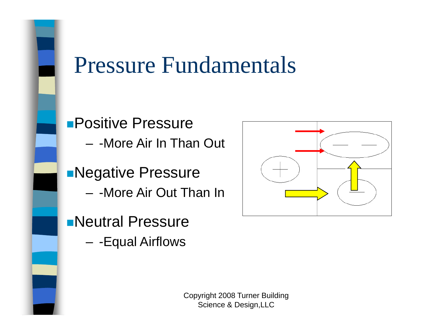**Positive Pressure** - - More Air In Than Out **Negative Pressure** - - More Air Out Than In

**Neutral Pressure** 

- - Equal Airflows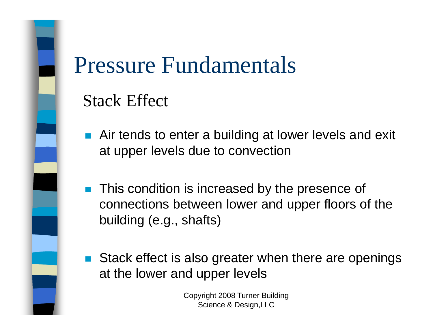

#### Stack Effect

- **Air tends to enter a building at lower levels and exit** at upper levels due to convection
- $\blacksquare$  This condition is increased by the presence of connections between lower and upper floors of the building (e.g., shafts)
- Stack effect is also greater when there are openings at the lower and upper levels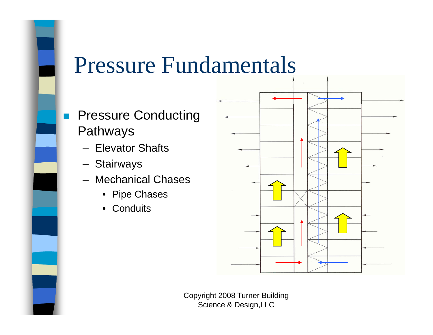- **Pressure Conducting** × Pathways
	- Elevator Shafts
	- Stairways
	- Mechanical Chases
		- Pipe Chases
		- Conduits

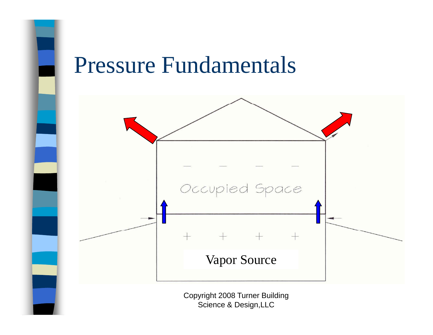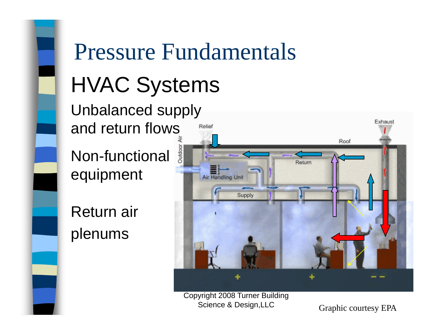# Pressure Fundamentals HVAC Systems

Unbalanced supply and return flows

Non-functional equipment

Return air plenums



Copyright 2008 Turner Building Science & Design, LLC Graphic courtesy EPA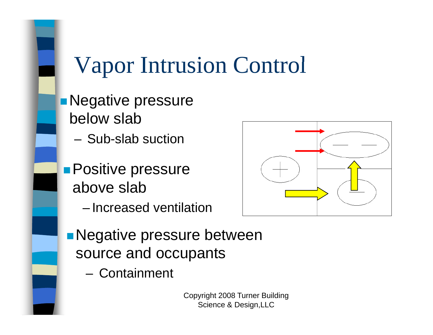**Negative pressure** below slab

– Sub-slab suction

**Positive pressure** above slab

– Increased ventilation



**Negative pressure between** source and occupants

Containment –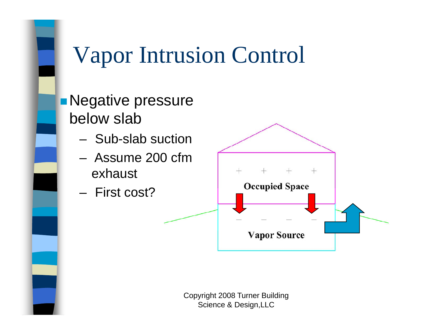

**Negative pressure** below slab

- Sub-slab suction
- – Assume 200 cfm exhaust
- First cost?

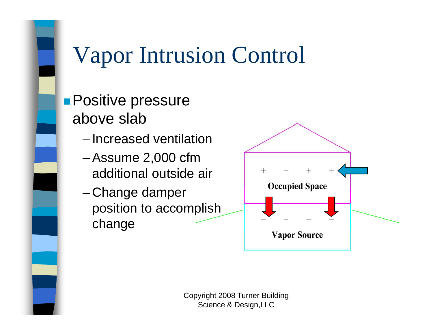

**Positive pressure** above slab

- Increased ventilation
- – Assume 2,000 cfm additional outside air
- -Change damper position to accomplish chan g e

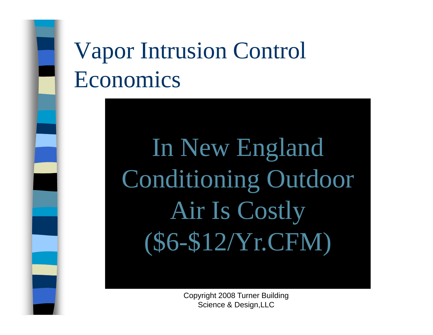## Vapor Intrusion Control Economics

In New England Conditioning Outdoor Air Is Costly (\$6-\$12/Yr.CFM)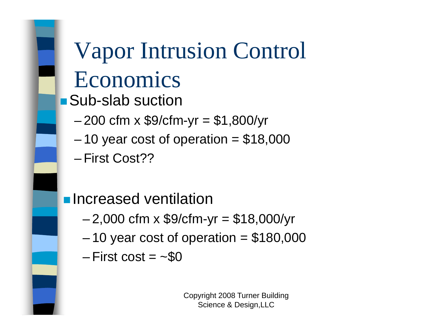#### Vapor Intrusion Control Economics  $\blacksquare$  Sub-slab suction – 200 cfm x \$9/cfm-yr = \$1,800/yr – $-$  10 year cost of operation =  $$18,000$ – First Cost??

**<u>nelencreased</u>** ventilation

- –2,000 cfm x \$9/cfm-yr = \$18,000/yr
- – $-$  10 year cost of operation =  $$180,000$
- First cost  $=$   $\sim$ \$0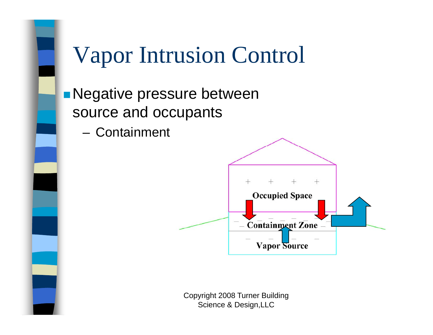

**Negative pressure between** source and occupants

– Containment

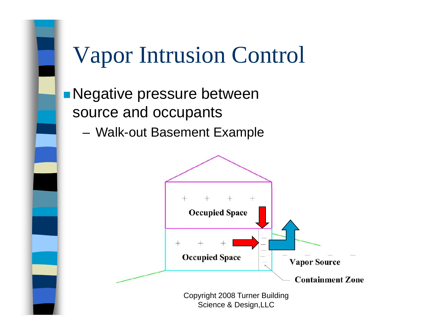

**Negative pressure between** source and occupants

–Walk-out Basement Example

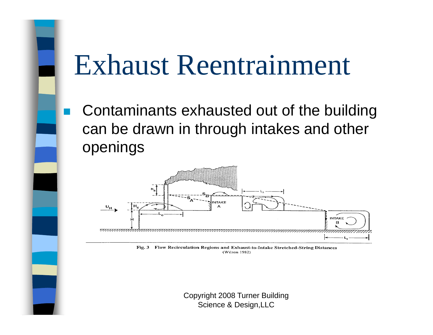# Exhaust Reentrainment

 $\mathbb{R}^n$ 

 Contaminants exhausted out of the building can be drawn in through intakes and other openings



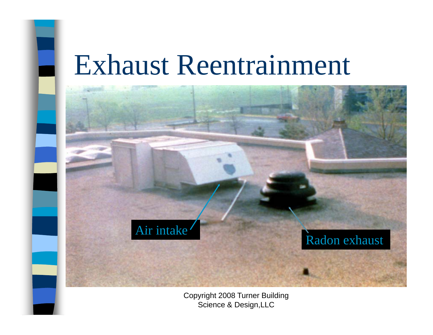## Exhaust Reentrainment